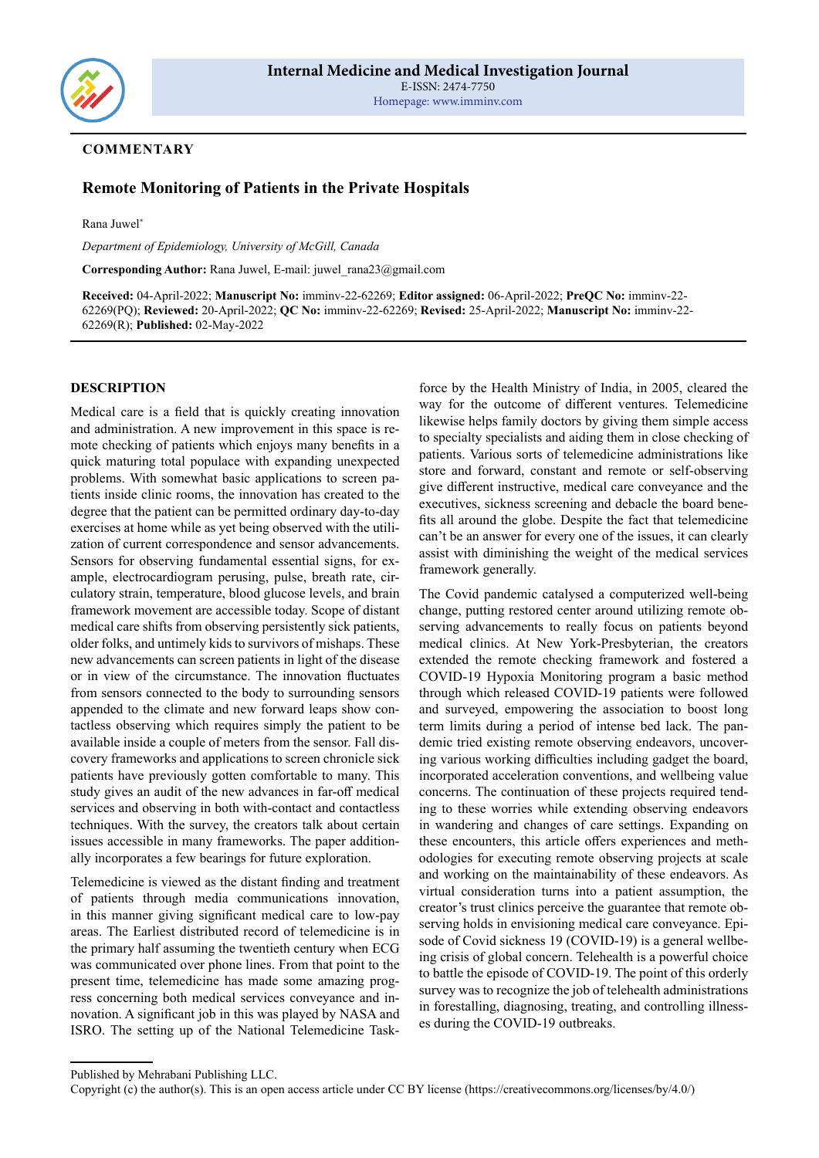

### **COMMENTARY**

# **Remote Monitoring of Patients in the Private Hospitals**

Rana Juwel\*

*Department of Epidemiology, University of McGill, Canada*

**Corresponding Author:** Rana Juwel, E-mail: juwel\_rana23@gmail.com

**Received:** 04-April-2022; **Manuscript No:** imminv-22-62269; **Editor assigned:** 06-April-2022; **PreQC No:** imminv-22- 62269(PQ); **Reviewed:** 20-April-2022; **QC No:** imminv-22-62269; **Revised:** 25-April-2022; **Manuscript No:** imminv-22- 62269(R); **Published:** 02-May-2022

#### **DESCRIPTION**

Medical care is a field that is quickly creating innovation and administration. A new improvement in this space is remote checking of patients which enjoys many benefits in a quick maturing total populace with expanding unexpected problems. With somewhat basic applications to screen patients inside clinic rooms, the innovation has created to the degree that the patient can be permitted ordinary day-to-day exercises at home while as yet being observed with the utilization of current correspondence and sensor advancements. Sensors for observing fundamental essential signs, for example, electrocardiogram perusing, pulse, breath rate, circulatory strain, temperature, blood glucose levels, and brain framework movement are accessible today. Scope of distant medical care shifts from observing persistently sick patients, older folks, and untimely kids to survivors of mishaps. These new advancements can screen patients in light of the disease or in view of the circumstance. The innovation fluctuates from sensors connected to the body to surrounding sensors appended to the climate and new forward leaps show contactless observing which requires simply the patient to be available inside a couple of meters from the sensor. Fall discovery frameworks and applications to screen chronicle sick patients have previously gotten comfortable to many. This study gives an audit of the new advances in far-off medical services and observing in both with-contact and contactless techniques. With the survey, the creators talk about certain issues accessible in many frameworks. The paper additionally incorporates a few bearings for future exploration.

Telemedicine is viewed as the distant finding and treatment of patients through media communications innovation, in this manner giving significant medical care to low-pay areas. The Earliest distributed record of telemedicine is in the primary half assuming the twentieth century when ECG was communicated over phone lines. From that point to the present time, telemedicine has made some amazing progress concerning both medical services conveyance and innovation. A significant job in this was played by NASA and ISRO. The setting up of the National Telemedicine Task-

force by the Health Ministry of India, in 2005, cleared the way for the outcome of different ventures. Telemedicine likewise helps family doctors by giving them simple access to specialty specialists and aiding them in close checking of patients. Various sorts of telemedicine administrations like store and forward, constant and remote or self-observing give different instructive, medical care conveyance and the executives, sickness screening and debacle the board benefits all around the globe. Despite the fact that telemedicine can't be an answer for every one of the issues, it can clearly assist with diminishing the weight of the medical services framework generally.

The Covid pandemic catalysed a computerized well-being change, putting restored center around utilizing remote observing advancements to really focus on patients beyond medical clinics. At New York-Presbyterian, the creators extended the remote checking framework and fostered a COVID-19 Hypoxia Monitoring program a basic method through which released COVID-19 patients were followed and surveyed, empowering the association to boost long term limits during a period of intense bed lack. The pandemic tried existing remote observing endeavors, uncovering various working difficulties including gadget the board, incorporated acceleration conventions, and wellbeing value concerns. The continuation of these projects required tending to these worries while extending observing endeavors in wandering and changes of care settings. Expanding on these encounters, this article offers experiences and methodologies for executing remote observing projects at scale and working on the maintainability of these endeavors. As virtual consideration turns into a patient assumption, the creator's trust clinics perceive the guarantee that remote observing holds in envisioning medical care conveyance. Episode of Covid sickness 19 (COVID-19) is a general wellbeing crisis of global concern. Telehealth is a powerful choice to battle the episode of COVID-19. The point of this orderly survey was to recognize the job of telehealth administrations in forestalling, diagnosing, treating, and controlling illnesses during the COVID-19 outbreaks.

Published by Mehrabani Publishing LLC.

Copyright (c) the author(s). This is an open access article under CC BY license (https://creativecommons.org/licenses/by/4.0/)